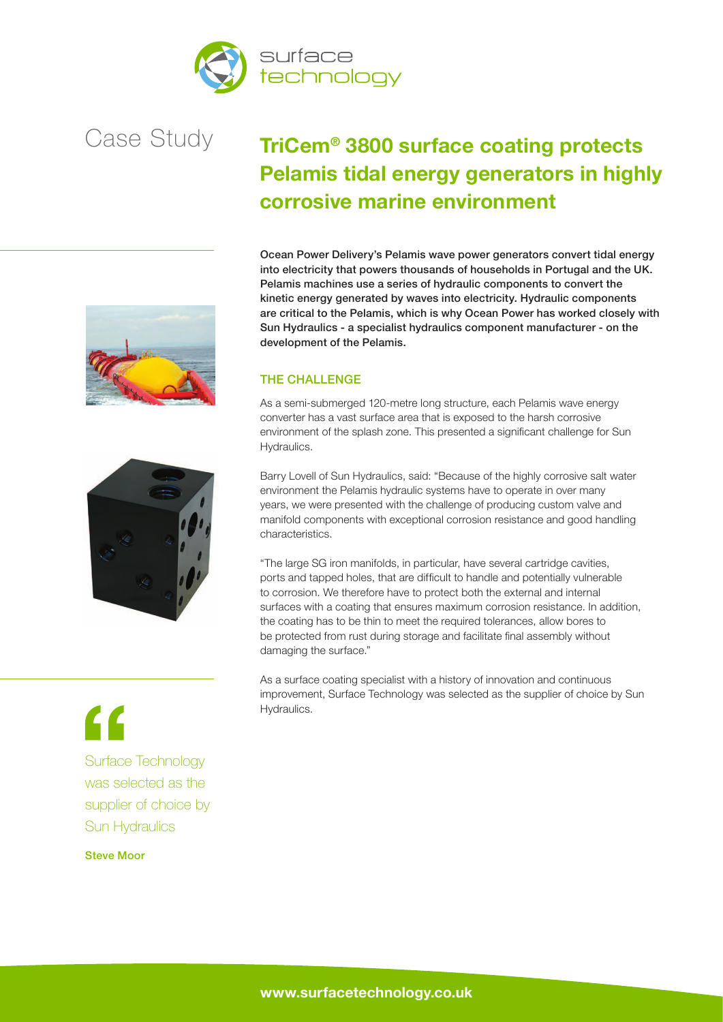



## **TriCem® 3800 surface coating protects Pelamis tidal energy generators in highly corrosive marine environment**

Ocean Power Delivery's Pelamis wave power generators convert tidal energy into electricity that powers thousands of households in Portugal and the UK. Pelamis machines use a series of hydraulic components to convert the kinetic energy generated by waves into electricity. Hydraulic components are critical to the Pelamis, which is why Ocean Power has worked closely with Sun Hydraulics - a specialist hydraulics component manufacturer - on the development of the Pelamis.

### THE CHALLENGE

As a semi-submerged 120-metre long structure, each Pelamis wave energy converter has a vast surface area that is exposed to the harsh corrosive environment of the splash zone. This presented a significant challenge for Sun Hydraulics.

Barry Lovell of Sun Hydraulics, said: "Because of the highly corrosive salt water environment the Pelamis hydraulic systems have to operate in over many years, we were presented with the challenge of producing custom valve and manifold components with exceptional corrosion resistance and good handling characteristics.

"The large SG iron manifolds, in particular, have several cartridge cavities, ports and tapped holes, that are difficult to handle and potentially vulnerable to corrosion. We therefore have to protect both the external and internal surfaces with a coating that ensures maximum corrosion resistance. In addition, the coating has to be thin to meet the required tolerances, allow bores to be protected from rust during storage and facilitate final assembly without damaging the surface."

As a surface coating specialist with a history of innovation and continuous improvement, Surface Technology was selected as the supplier of choice by Sun Hydraulics.





# $\epsilon$

Surface Technology was selected as the supplier of choice by Sun Hydraulics

### Steve Moor